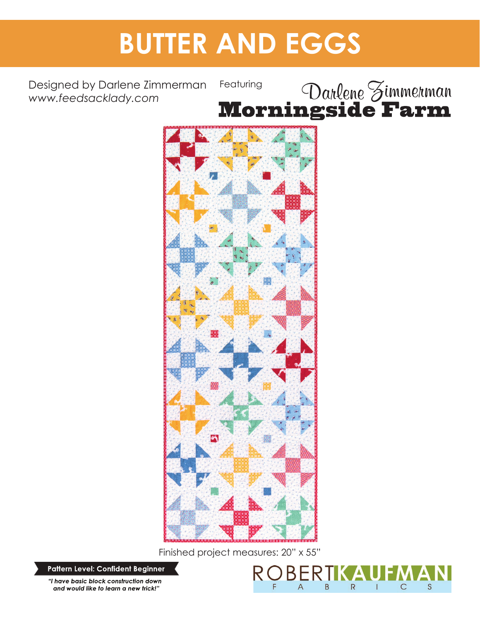# **BUTTER AND EGGS**

Designed by Darlene Zimmerman *www.feedsacklady.com*





Finished project measures: 20" x 55"

**Pattern Level: Confident Beginner** 

"I have basic block construction down and would like to learn a new trick!"

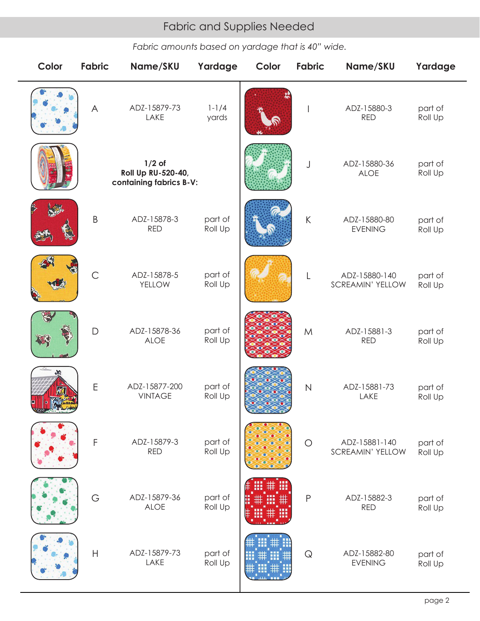# Fabric and Supplies Needed Fabric and Supplies Needed

*Fabric amounts based on yardage that is 40" wide.*

| Color | Fabric        | Name/SKU                                                  | Yardage            | Color | <b>Fabric</b>         | Name/SKU                                 | Yardage            |
|-------|---------------|-----------------------------------------------------------|--------------------|-------|-----------------------|------------------------------------------|--------------------|
|       | $\forall$     | ADZ-15879-73<br>LAKE                                      | $1 - 1/4$<br>yards |       | I                     | ADZ-15880-3<br><b>RED</b>                | part of<br>Roll Up |
|       |               | $1/2$ of<br>Roll Up RU-520-40,<br>containing fabrics B-V: |                    |       | J                     | ADZ-15880-36<br><b>ALOE</b>              | part of<br>Roll Up |
|       | $\sf B$       | ADZ-15878-3<br><b>RED</b>                                 | part of<br>Roll Up |       | $\sf K$               | ADZ-15880-80<br><b>EVENING</b>           | part of<br>Roll Up |
|       | $\mathsf{C}$  | ADZ-15878-5<br>YELLOW                                     | part of<br>Roll Up |       | L                     | ADZ-15880-140<br><b>SCREAMIN' YELLOW</b> | part of<br>Roll Up |
|       | D             | ADZ-15878-36<br><b>ALOE</b>                               | part of<br>Roll Up |       | M                     | ADZ-15881-3<br><b>RED</b>                | part of<br>Roll Up |
|       | $\mathsf E$   | ADZ-15877-200<br><b>VINTAGE</b>                           | part of<br>Roll Up |       | $\overline{N}$        | ADZ-15881-73<br>LAKE                     | part of<br>Roll Up |
|       | $\mathsf F$   | ADZ-15879-3<br><b>RED</b>                                 | part of<br>Roll Up |       | $\bigcirc$            | ADZ-15881-140<br><b>SCREAMIN' YELLOW</b> | part of<br>Roll Up |
|       | G             | ADZ-15879-36<br><b>ALOE</b>                               | part of<br>Roll Up |       | P                     | ADZ-15882-3<br><b>RED</b>                | part of<br>Roll Up |
|       | $\mathsf{H}%$ | ADZ-15879-73<br>LAKE                                      | part of<br>Roll Up |       | $\hbox{\large \bf Q}$ | ADZ-15882-80<br><b>EVENING</b>           | part of<br>Roll Up |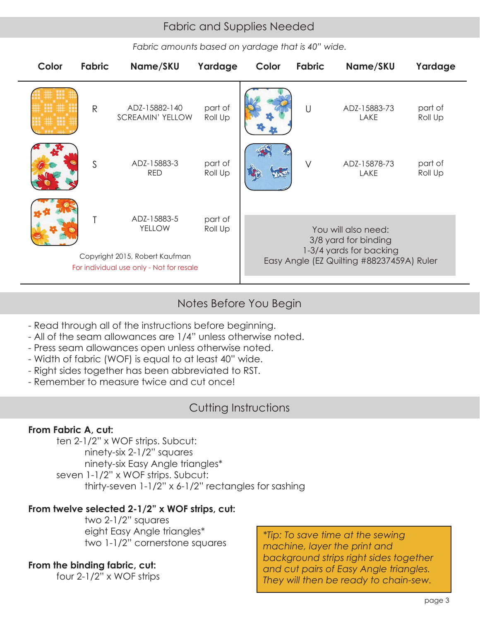# Fabric and Supplies Needed Fabric and Supplies Needed

*Fabric amounts based on yardage that is 40" wide.*

| Color | <b>Fabric</b> | Name/SKU                                                                                                   | Yardage            | Color                                                                                                               | Fabric | Name/SKU             | Yardage            |  |  |
|-------|---------------|------------------------------------------------------------------------------------------------------------|--------------------|---------------------------------------------------------------------------------------------------------------------|--------|----------------------|--------------------|--|--|
|       | $\mathsf{R}$  | ADZ-15882-140<br><b>SCREAMIN' YELLOW</b>                                                                   | part of<br>Roll Up |                                                                                                                     | U      | ADZ-15883-73<br>LAKE | part of<br>Roll Up |  |  |
|       | S             | ADZ-15883-3<br><b>RED</b>                                                                                  | part of<br>Roll Up |                                                                                                                     | $\vee$ | ADZ-15878-73<br>LAKE | part of<br>Roll Up |  |  |
|       |               | ADZ-15883-5<br><b>YELLOW</b><br>Copyright 2015, Robert Kaufman<br>For individual use only - Not for resale | part of<br>Roll Up | You will also need:<br>3/8 yard for binding<br>1-3/4 yards for backing<br>Easy Angle (EZ Quilting #88237459A) Ruler |        |                      |                    |  |  |
|       |               |                                                                                                            |                    |                                                                                                                     |        |                      |                    |  |  |

## Notes Before You Begin

- Read through all of the instructions before beginning.
- All of the seam allowances are 1/4" unless otherwise noted.
- Press seam allowances open unless otherwise noted.
- Width of fabric (WOF) is equal to at least 40" wide.
- Right sides together has been abbreviated to RST.
- Remember to measure twice and cut once!

## Cutting Instructions

### **From Fabric A, cut:**

 ten 2-1/2" x WOF strips. Subcut: ninety-six 2-1/2" squares ninety-six Easy Angle triangles\* seven 1-1/2" x WOF strips. Subcut: thirty-seven 1-1/2" x 6-1/2" rectangles for sashing

### **From twelve selected 2-1/2" x WOF strips, cut:**

 two 2-1/2" squares eight Easy Angle triangles\* two 1-1/2" cornerstone squares

### **From the binding fabric, cut:**

four 2-1/2" x WOF strips

*\*Tip: To save time at the sewing machine, layer the print and background strips right sides together and cut pairs of Easy Angle triangles. They will then be ready to chain-sew.*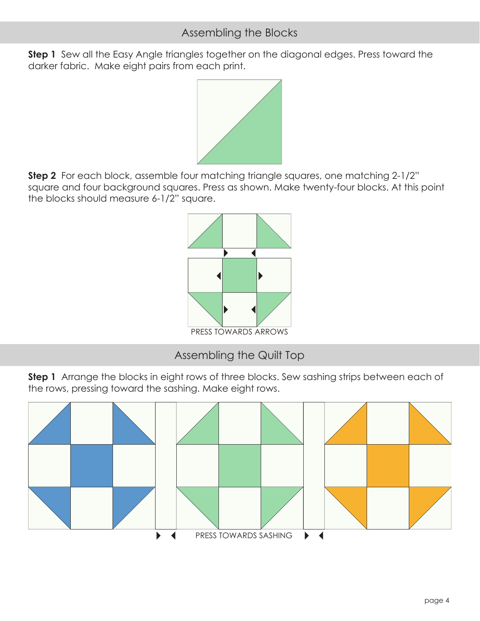**Step 1** Sew all the Easy Angle triangles together on the diagonal edges. Press toward the darker fabric. Make eight pairs from each print.



**Step 2** For each block, assemble four matching triangle squares, one matching 2-1/2" square and four background squares. Press as shown. Make twenty-four blocks. At this point the blocks should measure 6-1/2" square.



Assembling the Quilt Top

**Step 1** Arrange the blocks in eight rows of three blocks. Sew sashing strips between each of the rows, pressing toward the sashing. Make eight rows.